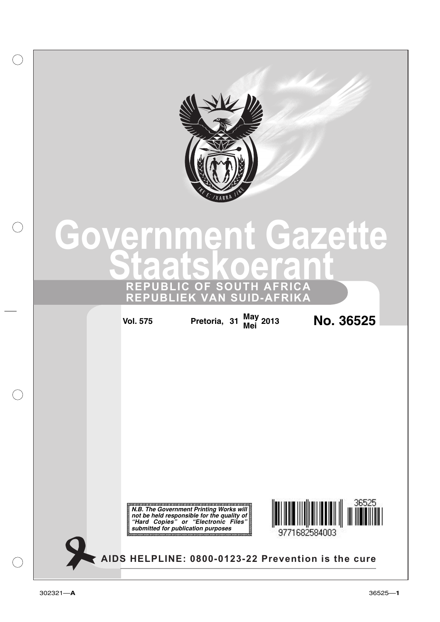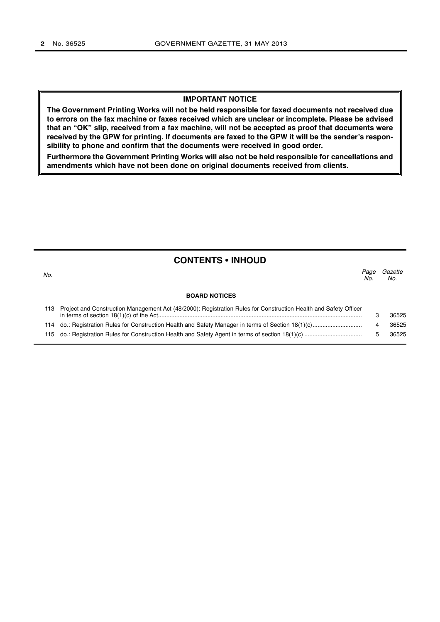#### **IMPORTANT NOTICE**

**The Government Printing Works will not be held responsible for faxed documents not received due to errors on the fax machine or faxes received which are unclear or incomplete. Please be advised that an "OK" slip, received from a fax machine, will not be accepted as proof that documents were received by the GPW for printing. If documents are faxed to the GPW it will be the sender's responsibility to phone and confirm that the documents were received in good order.**

**Furthermore the Government Printing Works will also not be held responsible for cancellations and amendments which have not been done on original documents received from clients.**

| <b>CONTENTS • INHOUD</b> |  |  |  |  |  |
|--------------------------|--|--|--|--|--|
|--------------------------|--|--|--|--|--|

| No. |                                                                                                                      | Page<br>No. | Gazette<br>No. |
|-----|----------------------------------------------------------------------------------------------------------------------|-------------|----------------|
|     | <b>BOARD NOTICES</b>                                                                                                 |             |                |
|     | 113 Project and Construction Management Act (48/2000): Registration Rules for Construction Health and Safety Officer |             | 36525          |
|     |                                                                                                                      |             | 36525          |
|     |                                                                                                                      |             | 36525          |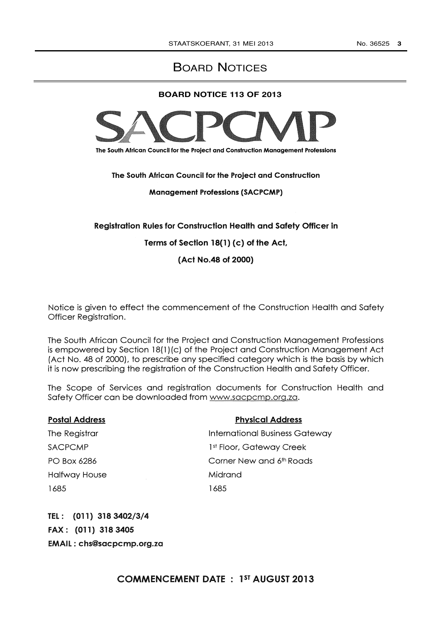# BOARD NOTICES

### **BOARD NOTICE 113 OF 2013**



The South African Council for the Project and Construction Management Professions

The South African Council for the Project and Construction

Management Professions (SACPCMP)

### Registration Rules for Construction Health and Safety Officer in

## Terms of Section 18(1) (c) of the Act,

(Act No.48 of 2000)

Notice is given to effect the commencement of the Construction Health and Safety Officer Registration.

The South African Council for the Project and Construction Management Professions is empowered by Section 18(1) (c) of the Project and Construction Management Act (Act No. 48 of 2000), to prescribe any specified category which is the basis by which it is now prescribing the registration of the Construction Health and Safety Officer.

The Scope of Services and registration documents for Construction Health and Safety Officer can be downloaded from www.sacpcmp.org.za.

| <b>Postal Address</b> | <b>Physical Address</b>              |
|-----------------------|--------------------------------------|
| The Registrar         | International Business Gateway       |
| <b>SACPCMP</b>        | 1 <sup>st</sup> Floor, Gateway Creek |
| PO Box 6286           | Corner New and 6th Roads             |
| <b>Halfway House</b>  | Midrand                              |
| 1685                  | 1685                                 |

TEL (011) 318 3402/3/4 FAX (011) 318 3405 EMAIL chs@sacpcmp.org.za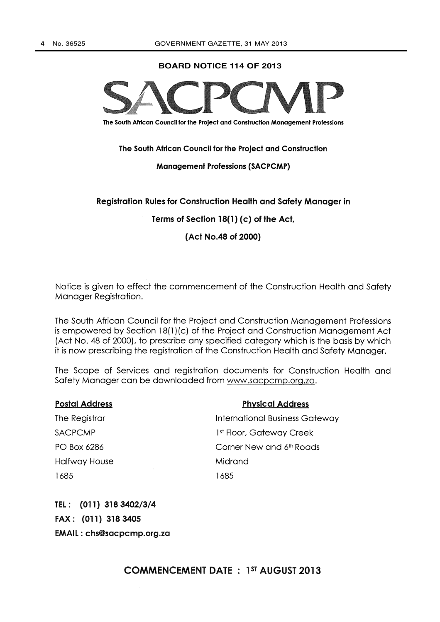**BOARD NOTICE 114 OF 2013**



The South African Council for the Project and Construction Management Professions

The South African Council for the Project and Construction

#### Management Professions (SACPCMP)

### Registration Rules for Construction Health and Safety Manager in

Terms of Section 18(1) (c) of the Act,

(Act No.48 of 2000)

Notice is given to effect the commencement of the Construction Health and Safety Manager Registration.

The South African Council for the Project and Construction Management Professions is empowered by Section 18(1) (c) of the Project and Construction Management Act (Act No. 48 of 2000), to prescribe any specified category which is the basis by which it is now prescribing the registration of the Construction Health and Safety Manager.

The Scope of Services and registration documents for Construction Health and Safety Manager can be downloaded from www.sacpcmp.org.za.

| <b>Postal Address</b> | <b>Physical Address</b>               |
|-----------------------|---------------------------------------|
| The Registrar         | <b>International Business Gateway</b> |
| <b>SACPCMP</b>        | 1 <sup>st</sup> Floor, Gateway Creek  |
| PO Box 6286           | Corner New and 6th Roads              |
| Halfway House         | Midrand                               |
| 1685                  | 1685                                  |

TEL : (011) 318 3402/3/4 FAX : (011) 318 3405 EMAIL : chs@sacpcmp.org.za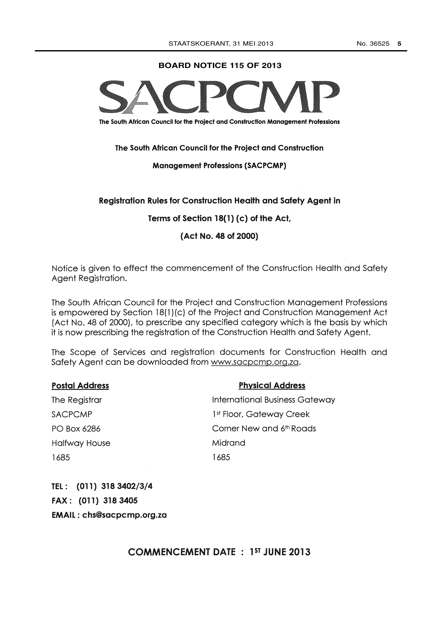#### **BOARD NOTICE 115 OF 2013**



The South African Council for the Project and Construction Management Professions

The South African Council for the Project and Construction

### Management Professions (SACPCMP)

# Registration Rules for Construction Health and Safety Agent in

Terms of Section 18(1) (c) of the Act,

(Act No. 48 of 2000)

Notice is given to effect the commencement of the Construction Health and Safety Agent Registration.

The South African Council for the Project and Construction Management Professions is empowered by Section 18(1) (c) of the Project and Construction Management Act (Act No. 48 of 2000), to prescribe any specified category which is the basis by which it is now prescribing the registration of the Construction Health and Safety Agent.

The Scope of Services and registration documents for Construction Health and Safety Agent can be downloaded from www.sacpcmp.org.za.

| <b>Postal Address</b> | <b>Physical Address</b>               |
|-----------------------|---------------------------------------|
| The Registrar         | <b>International Business Gateway</b> |
| <b>SACPCMP</b>        | 1st Floor, Gateway Creek              |
| PO Box 6286           | Corner New and 6th Roads              |
| <b>Halfway House</b>  | Midrand                               |
| 1685                  | 1685                                  |
|                       |                                       |

TEL : (011) 318 3402/3/4 FAX : (011) 318 3405 EMAIL : chs@sacpcmp.org.za